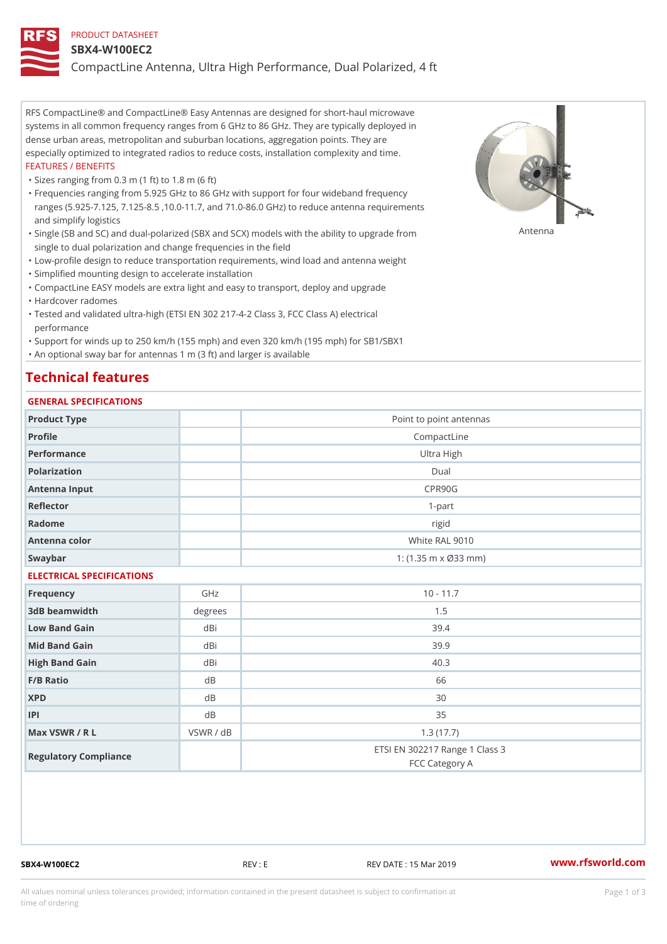#### PRODUCT DATASHEET

#### SBX4-W100EC2

CompactLine Antenna, Ultra High Performance, Dual Polarized, 4 ft

RFS CompactLine® and CompactLine® Easy Antennas are designed for short-haul microwave systems in all common frequency ranges from 6 GHz to 86 GHz. They are typically deployed in dense urban areas, metropolitan and suburban locations, aggregation points. They are especially optimized to integrated radios to reduce costs, installation complexity and time. FEATURES / BENEFITS

"Sizes ranging from 0.3 m (1 ft) to 1.8 m (6 ft)

Frequencies ranging from 5.925 GHz to 86 GHz with support for four wideband frequency " ranges (5.925-7.125, 7.125-8.5 ,10.0-11.7, and 71.0-86.0 GHz) to reduce antenna requirements and simplify logistics

"Single (SB and SC) and dual-polarized (SBX and SCX) models with the abili $\mathsf{f} \gamma^{\mathsf{n}} \mathsf{t} \mathsf{B}^{\mathsf{n}} \mathsf{u} \mathsf{p} \mathsf{B}$ grade from single to dual polarization and change frequencies in the field

"Low-profile design to reduce transportation requirements, wind load and antenna weight

"Simplified mounting design to accelerate installation

 "CompactLine EASY models are extra light and easy to transport, deploy and upgrade "Hardcover radomes

Tested and validated ultra-high (ETSI EN 302 217-4-2 Class 3, FCC Class A) electrical " performance

 "Support for winds up to 250 km/h (155 mph) and even 320 km/h (195 mph) for SB1/SBX1 "An optional sway bar for antennas 1 m (3 ft) and larger is available

# Technical features

## GENERAL SPECIFICATIONS

| GENERAL SELGIFICATIONS    |                |                                                  |  |  |
|---------------------------|----------------|--------------------------------------------------|--|--|
| Product Type              |                | Point to point antennas                          |  |  |
| Profile                   |                | CompactLine                                      |  |  |
| Performance               | Ultra High     |                                                  |  |  |
| Polarization              | $D$ ual        |                                                  |  |  |
| Antenna Input             | CPR90G         |                                                  |  |  |
| Reflector                 | $1 - p$ art    |                                                  |  |  |
| Radome                    |                | rigid                                            |  |  |
| Antenna color             | White RAL 9010 |                                                  |  |  |
| Swaybar                   |                | 1: $(1.35 m \times 033 mm)$                      |  |  |
| ELECTRICAL SPECIFICATIONS |                |                                                  |  |  |
| Frequency                 | GHz            | $10 - 11.7$                                      |  |  |
| 3dB beamwidth             | degree:        | 1.5                                              |  |  |
| Low Band Gain             | dBi            | 39.4                                             |  |  |
| Mid Band Gain             | dBi            | 39.9                                             |  |  |
| High Band Gain            | dBi            | 40.3                                             |  |  |
| F/B Ratio                 | d B            | 66                                               |  |  |
| <b>XPD</b>                | d B            | 30                                               |  |  |
| P                         | d B            | 35                                               |  |  |
| Max VSWR / R L            | VSWR / dB      | 1.3(17.7)                                        |  |  |
| Regulatory Compliance     |                | ETSI EN 302217 Range 1 Class 3<br>FCC Category A |  |  |

SBX4-W100EC2 REV : E REV DATE : 15 Mar 2019 [www.](https://www.rfsworld.com)rfsworld.com

All values nominal unless tolerances provided; information contained in the present datasheet is subject to Pcapgeign mation time of ordering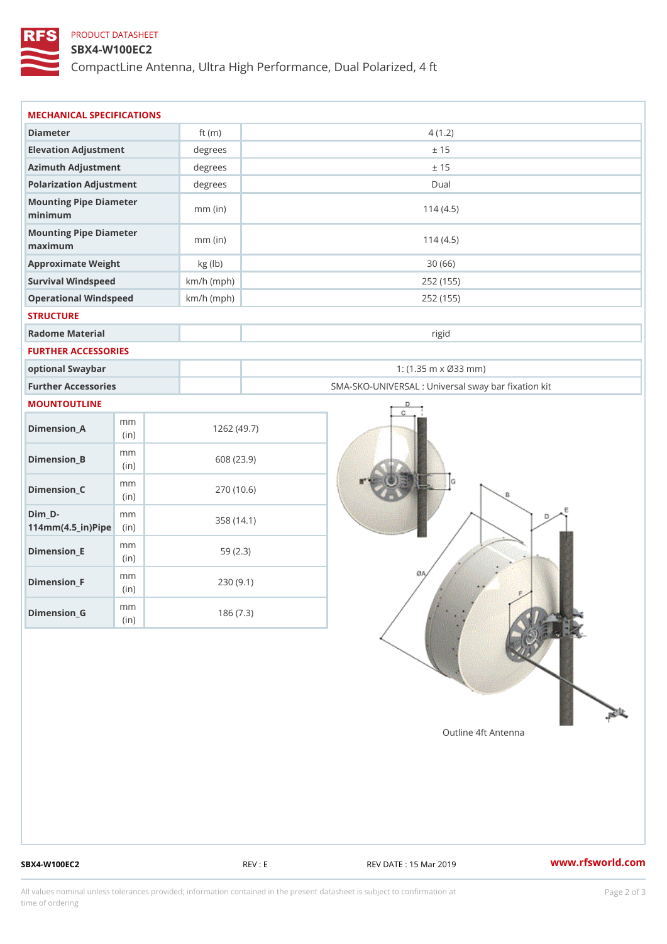## PRODUCT DATASHEET

### SBX4-W100EC2

CompactLine Antenna, Ultra High Performance, Dual Polarized, 4 ft

| MECHANICAL SPECIFICATIONS                                  |              |                                                   |
|------------------------------------------------------------|--------------|---------------------------------------------------|
| Diameter                                                   | ft $(m)$     | 4(1.2)                                            |
| Elevation Adjustment                                       | degrees      | ± 15                                              |
| Azimuth Adjustment                                         | degrees      | ± 15                                              |
| Polarization Adjustment                                    | degrees      | Dual                                              |
| Mounting Pipe Diameter                                     |              |                                                   |
| minimum                                                    | $mm$ (in)    | 114(4.5)                                          |
| Mounting Pipe Diameter<br>maximum                          | $mm$ (in)    | 114(4.5)                                          |
| Approximate Weight                                         | kg (lb)      | 30(66)                                            |
| Survival Windspeed                                         | $km/h$ (mph) | 252 (155)                                         |
| Operational Windspeed                                      | $km/h$ (mph) | 252 (155)                                         |
| <b>STRUCTURE</b>                                           |              |                                                   |
| Radome Material                                            |              | rigid                                             |
| FURTHER ACCESSORIES                                        |              |                                                   |
| optional Swaybar                                           |              | 1: $(1.35 m \times 033 m)$                        |
| Further Accessories                                        |              | SMA-SKO-UNIVERSAL : Universal sway bar fixation l |
| MOUNTOUTLINE                                               |              |                                                   |
| m m<br>$Dimension_A$<br>(in)                               |              | 1262(49.7)                                        |
| m m<br>$Dimension_B$<br>(i n)                              |              | 608 (23.9)                                        |
| m m<br>$Dimension_C$<br>(i n)                              |              | 270 (10.6)                                        |
| $Dim_D -$<br>m m<br>$114$ m m $(4.5$ _ ir $)$ $R$ ii p $e$ |              | 358 (14.1)                                        |
| m m<br>$Dimension$ = E<br>(in)                             |              | 59(2.3)                                           |
| m m<br>$Dimension_F$<br>(in)                               |              | 230(9.1)                                          |
| m m<br>$Dimension_G$<br>(in)                               |              | 186(7.3)                                          |

SBX4-W100EC2 REV : E REV E REV DATE : 15 Mar 2019 WWW.rfsworld.com

All values nominal unless tolerances provided; information contained in the present datasheet is subject to Pcapgelio an atio time of ordering